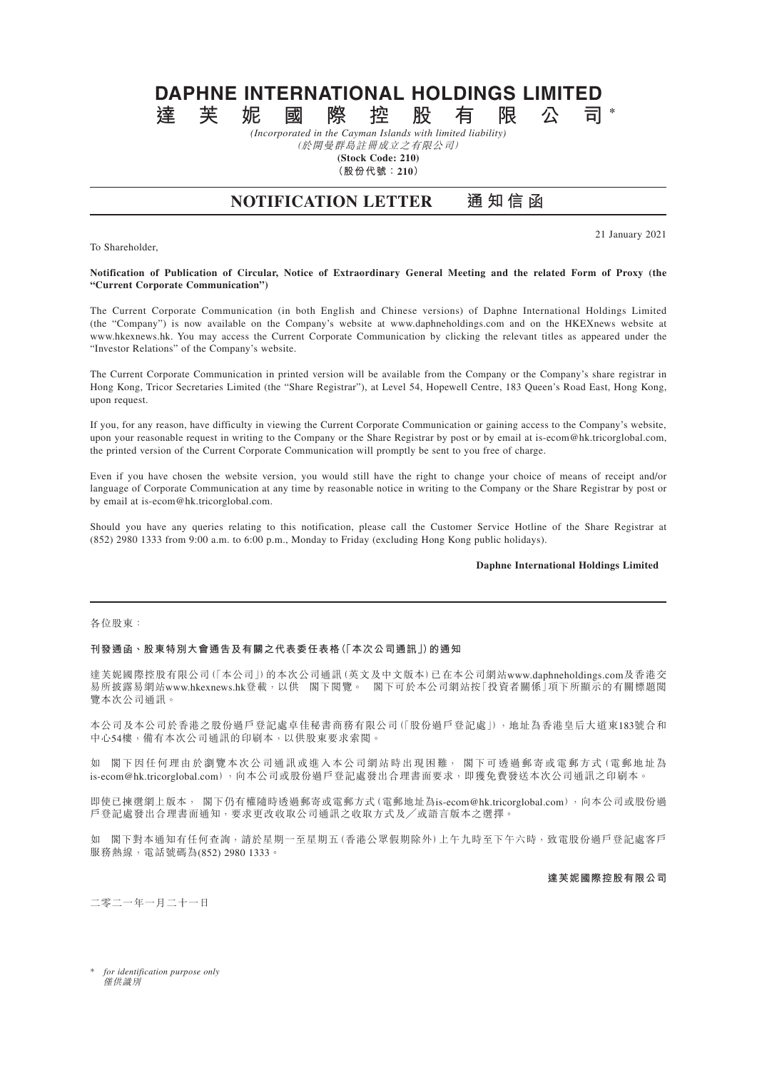# **DAPHNE INTERNATIONAL HOLDINGS LIMITED 達芙妮國際控股有限公司 \***

*(Incorporated in the Cayman Islands with limited liability)* (於開曼群島註冊成立之有限公司)

**(Stock Code: 210)**

**(股份代號:210)**

## **NOTIFICATION LETTER 通知信函**

To Shareholder,

21 January 2021

#### **Notification of Publication of Circular, Notice of Extraordinary General Meeting and the related Form of Proxy (the "Current Corporate Communication")**

The Current Corporate Communication (in both English and Chinese versions) of Daphne International Holdings Limited (the "Company") is now available on the Company's website at www.daphneholdings.com and on the HKEXnews website at www.hkexnews.hk. You may access the Current Corporate Communication by clicking the relevant titles as appeared under the "Investor Relations" of the Company's website.

The Current Corporate Communication in printed version will be available from the Company or the Company's share registrar in Hong Kong, Tricor Secretaries Limited (the "Share Registrar"), at Level 54, Hopewell Centre, 183 Queen's Road East, Hong Kong, upon request.

If you, for any reason, have difficulty in viewing the Current Corporate Communication or gaining access to the Company's website, upon your reasonable request in writing to the Company or the Share Registrar by post or by email at is-ecom@hk.tricorglobal.com, the printed version of the Current Corporate Communication will promptly be sent to you free of charge.

Even if you have chosen the website version, you would still have the right to change your choice of means of receipt and/or language of Corporate Communication at any time by reasonable notice in writing to the Company or the Share Registrar by post or by email at is-ecom@hk.tricorglobal.com.

Should you have any queries relating to this notification, please call the Customer Service Hotline of the Share Registrar at (852) 2980 1333 from 9:00 a.m. to 6:00 p.m., Monday to Friday (excluding Hong Kong public holidays).

### **Daphne International Holdings Limited**

#### 各位股東:

#### **刊發通函、股東特別大會通告及有關之代表委任表格(「本次公司通訊」)的通知**

達芙妮國際控股有限公司(「本公司」)的本次公司通訊(英文及中文版本)已在本公司網站www.daphneholdings.com及香港交 易所披露易網站www.hkexnews.hk登載,以供 閣下閱覽。 閣下可於本公司網站按「投資者關係」項下所顯示的有關標題閱 覽本次公司通訊。

本公司及本公司於香港之股份過戶登記處卓佳秘書商務有限公司(「股份過戶登記處」),地址為香港皇后大道東183號合和 中心54樓,備有本次公司通訊的印刷本,以供股東要求索閱。

如 閣下因任何理由於瀏覽本次公司通訊或進入本公司網站時出現困難, 閣下可透過郵寄或電郵方式(電郵地址為 is-ecom@hk.tricorglobal.com),向本公司或股份過戶登記處發出合理書面要求,即獲免費發送本次公司通訊之印刷本。

即使已揀選網上版本, 閣下仍有權隨時透過郵寄或電郵方式(電郵地址為is-ecom@hk.tricorglobal.com),向本公司或股份過 戶登記處發出合理書面通知,要求更改收取公司通訊之收取方式及╱或語言版本之選擇。

如 閣下對本通知有任何查詢,請於星期一至星期五(香港公眾假期除外)上午九時至下午六時,致電股份過戶登記處客戶 服務熱線,電話號碼為(852) 2980 1333。

**達芙妮國際控股有限公司**

二零二一年一月二十一日

\* *for identification purpose only* 僅供識別